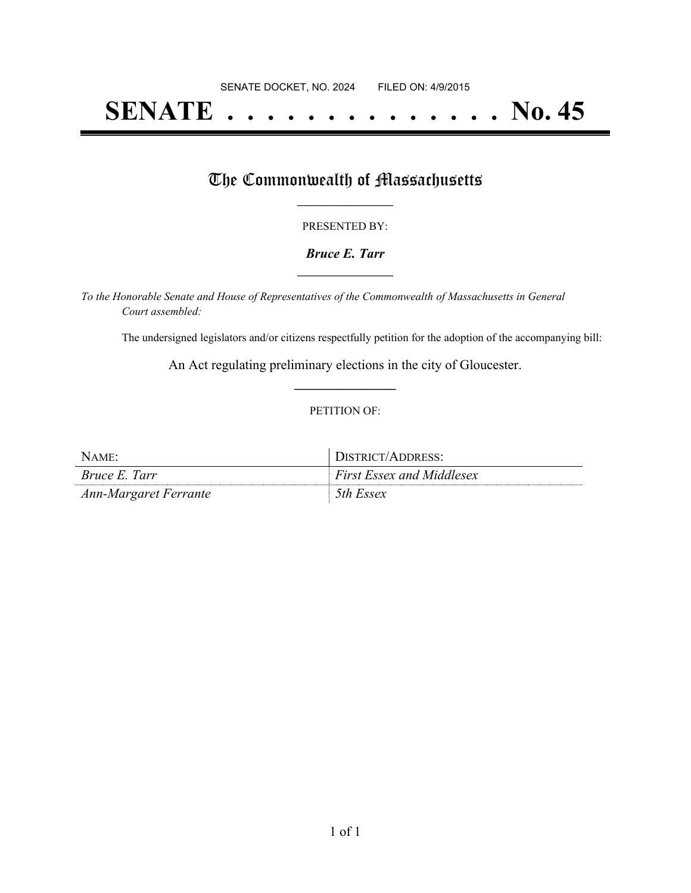# **SENATE . . . . . . . . . . . . . . No. 45**

## The Commonwealth of Massachusetts

#### PRESENTED BY:

#### *Bruce E. Tarr* **\_\_\_\_\_\_\_\_\_\_\_\_\_\_\_\_\_**

*To the Honorable Senate and House of Representatives of the Commonwealth of Massachusetts in General Court assembled:*

The undersigned legislators and/or citizens respectfully petition for the adoption of the accompanying bill:

An Act regulating preliminary elections in the city of Gloucester. **\_\_\_\_\_\_\_\_\_\_\_\_\_\_\_**

#### PETITION OF:

| NAME:                 | DISTRICT/ADDRESS:                |
|-----------------------|----------------------------------|
| <i>Bruce E. Tarr</i>  | <b>First Essex and Middlesex</b> |
| Ann-Margaret Ferrante | 5th Essex                        |